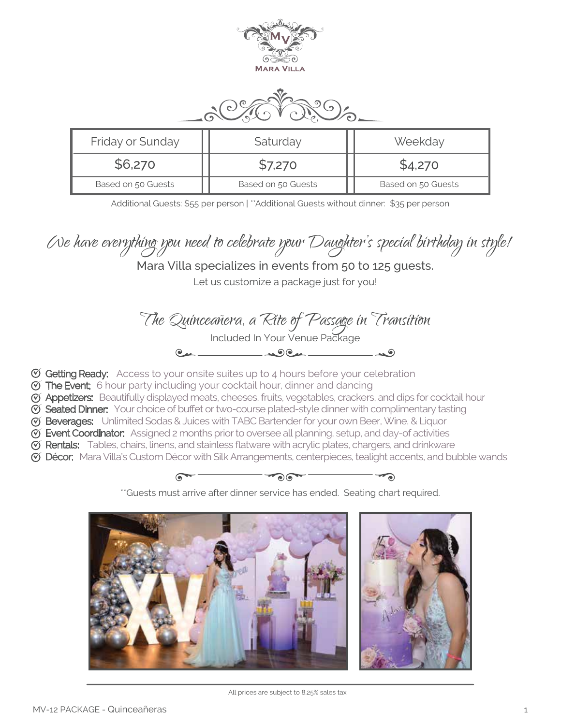



| Friday or Sunday   | Saturday           | Weekday            |
|--------------------|--------------------|--------------------|
| \$6,270            | \$7,270            | \$4,270            |
| Based on 50 Guests | Based on 50 Guests | Based on 50 Guests |

Additional Guests: \$55 per person | \*\*Additional Guests without dinner: \$35 per person

We have everything you need to celebrate your Daughter's special birthday in style!

## Mara Villa specializes in events from 50 to 125 guests.

Let us customize a package just for you!

The Quinceañera, a Rite of Passage in Transition Included In Your Venue Package  $\overline{\phantom{a}}$ 

- $\mathfrak G$  Getting Ready: Access to your onsite suites up to 4 hours before your celebration
- $\mathfrak{G}$  The Event: 6 hour party including your cocktail hour, dinner and dancing
- Appetizers: Beautifully displayed meats, cheeses, fruits, vegetables, crackers, and dips for cocktail hour
- Seated Dinner: Your choice of buffet or two-course plated-style dinner with complimentary tasting
- G Beverages: Unlimited Sodas & Juices with TABC Bartender for your own Beer, Wine, & Liquor
- G Event Coordinator: Assigned 2 months prior to oversee all planning, setup, and day-of activities
- Rentals: Tables, chairs, linens, and stainless flatware with acrylic plates, chargers, and drinkware
- Décor: Mara Villa's Custom Décor with Silk Arrangements, centerpieces, tealight accents, and bubble wands



\*\*Guests must arrive after dinner service has ended. Seating chart required.



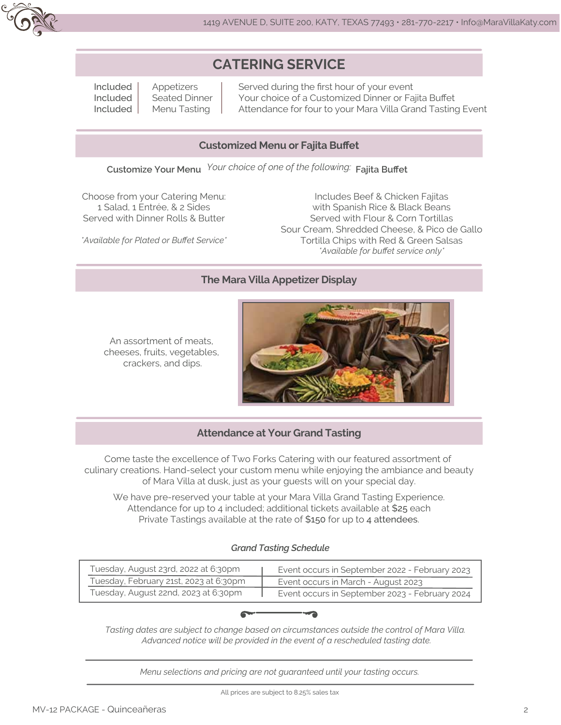

# **CATERING SERVICE**

Included Included Included Appetizers Seated Dinner Menu Tasting

Served during the first hour of your event Your choice of a Customized Dinner or Fajita Buffet Attendance for four to your Mara Villa Grand Tasting Event

### **Customized Menu or Fajita Buffet**

**Customize Your Menu Fajita Buffet** *Your choice of one of the following:*

Choose from your Catering Menu: 1 Salad, 1 Entrée, & 2 Sides Served with Dinner Rolls & Butter

*\*Available for Plated or Buffet Service\**

Includes Beef & Chicken Fajitas with Spanish Rice & Black Beans Served with Flour & Corn Tortillas Sour Cream, Shredded Cheese, & Pico de Gallo Tortilla Chips with Red & Green Salsas *\*Available for buffet service only\**

### **The Mara Villa Appetizer Display**

An assortment of meats, cheeses, fruits, vegetables, crackers, and dips.



### **Attendance at Your Grand Tasting**

Come taste the excellence of Two Forks Catering with our featured assortment of culinary creations. Hand-select your custom menu while enjoying the ambiance and beauty of Mara Villa at dusk, just as your guests will on your special day.

We have pre-reserved your table at your Mara Villa Grand Tasting Experience. Attendance for up to 4 included; additional tickets available at \$25 each Private Tastings available at the rate of \$150 for up to 4 attendees.

#### *Grand Tasting Schedule*

| Tuesday, August 23rd, 2022 at 6:30pm   | Event occurs in September 2022 - February 2023 |
|----------------------------------------|------------------------------------------------|
| Tuesday, February 21st, 2023 at 6:30pm | Event occurs in March - August 2023            |
| Tuesday, August 22nd, 2023 at 6:30pm   | Event occurs in September 2023 - February 2024 |



*Tasting dates are subject to change based on circumstances outside the control of Mara Villa. Advanced notice will be provided in the event of a rescheduled tasting date.*

*Menu selections and pricing are not guaranteed until your tasting occurs.*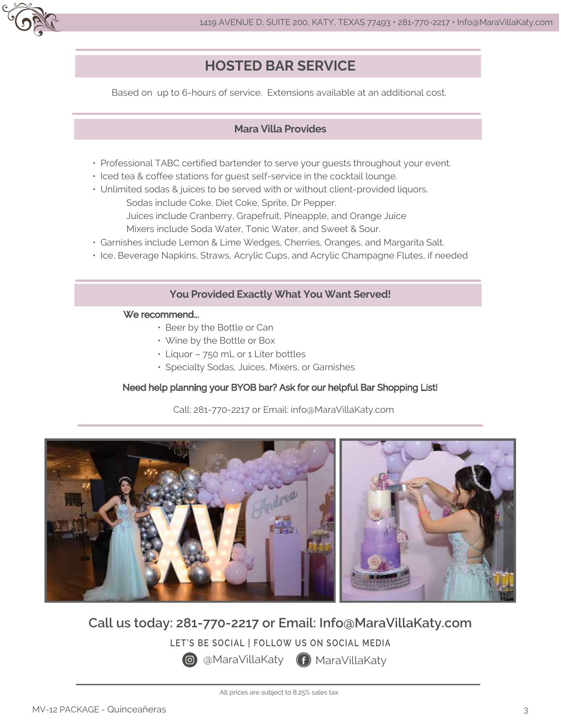

# **HOSTED BAR SERVICE**

Based on up to 6-hours of service. Extensions available at an additional cost.

### **Mara Villa Provides**

- Professional TABC certified bartender to serve your guests throughout your event.
- Iced tea & coffee stations for guest self-service in the cocktail lounge.
- Unlimited sodas & juices to be served with or without client-provided liquors. Sodas include Coke, Diet Coke, Sprite, Dr Pepper. Juices include Cranberry, Grapefruit, Pineapple, and Orange Juice Mixers include Soda Water, Tonic Water, and Sweet & Sour.
- Garnishes include Lemon & Lime Wedges, Cherries, Oranges, and Margarita Salt.
- Ice, Beverage Napkins, Straws, Acrylic Cups, and Acrylic Champagne Flutes, if needed

#### **You Provided Exactly What You Want Served!**

#### We recommend...

- Beer by the Bottle or Can
- Wine by the Bottle or Box
- Liquor 750 mL or 1 Liter bottles
- Specialty Sodas, Juices, Mixers, or Garnishes

#### Need help planning your BYOB bar? Ask for our helpful Bar Shopping List!

Call: 281-770-2217 or Email: info@MaraVillaKaty.com



# **Call us today: 281-770-2217 or Email: Info@MaraVillaKaty.com**

**LET'S BE SOCIAL | FOLLOW US ON SOCIAL MEDIA**

**@** @MaraVillaKaty (f) MaraVillaKaty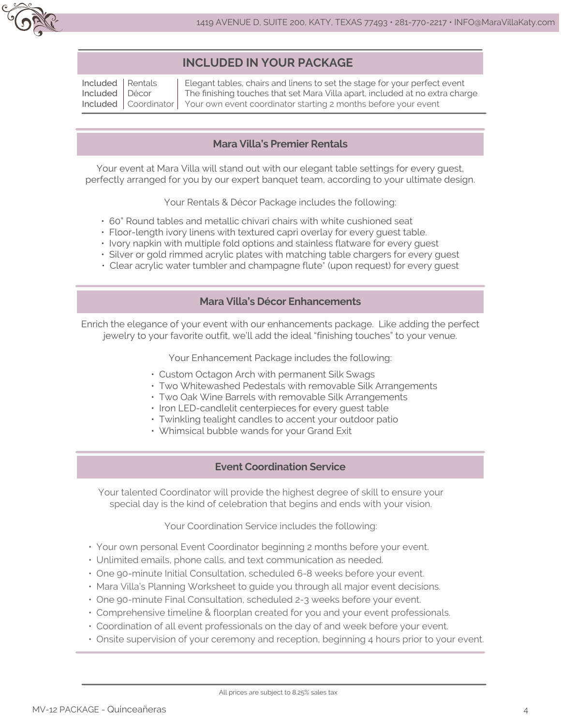

### **INCLUDED IN YOUR PACKAGE**

| Included   Rentals | Elegant tables, chairs and linens to set the stage for your perfect event               |
|--------------------|-----------------------------------------------------------------------------------------|
| Included   Décor   | The finishing touches that set Mara Villa apart, included at no extra charge            |
|                    | Included   Coordinator   Your own event coordinator starting 2 months before your event |

### **Mara Villa's Premier Rentals**

Your event at Mara Villa will stand out with our elegant table settings for every guest, perfectly arranged for you by our expert banquet team, according to your ultimate design.

Your Rentals & Décor Package includes the following:

- 60" Round tables and metallic chivari chairs with white cushioned seat
- Floor-length ivory linens with textured capri overlay for every guest table.
- Ivory napkin with multiple fold options and stainless flatware for every guest
- Silver or gold rimmed acrylic plates with matching table chargers for every guest
- Clear acrylic water tumbler and champagne flute\* (upon request) for every guest

### **Mara Villa's Décor Enhancements**

Enrich the elegance of your event with our enhancements package. Like adding the perfect jewelry to your favorite outfit, we'll add the ideal "finishing touches" to your venue.

Your Enhancement Package includes the following:

- Custom Octagon Arch with permanent Silk Swags
- Two Whitewashed Pedestals with removable Silk Arrangements
- Two Oak Wine Barrels with removable Silk Arrangements
- Iron LED-candlelit centerpieces for every guest table
- Twinkling tealight candles to accent your outdoor patio
- Whimsical bubble wands for your Grand Exit

### **Event Coordination Service**

Your talented Coordinator will provide the highest degree of skill to ensure your special day is the kind of celebration that begins and ends with your vision.

Your Coordination Service includes the following:

- Your own personal Event Coordinator beginning 2 months before your event.
- Unlimited emails, phone calls, and text communication as needed.
- One 90-minute Initial Consultation, scheduled 6-8 weeks before your event.
- Mara Villa's Planning Worksheet to guide you through all major event decisions.
- One 90-minute Final Consultation, scheduled 2-3 weeks before your event.
- Comprehensive timeline & floorplan created for you and your event professionals.
- Coordination of all event professionals on the day of and week before your event.
- Onsite supervision of your ceremony and reception, beginning 4 hours prior to your event.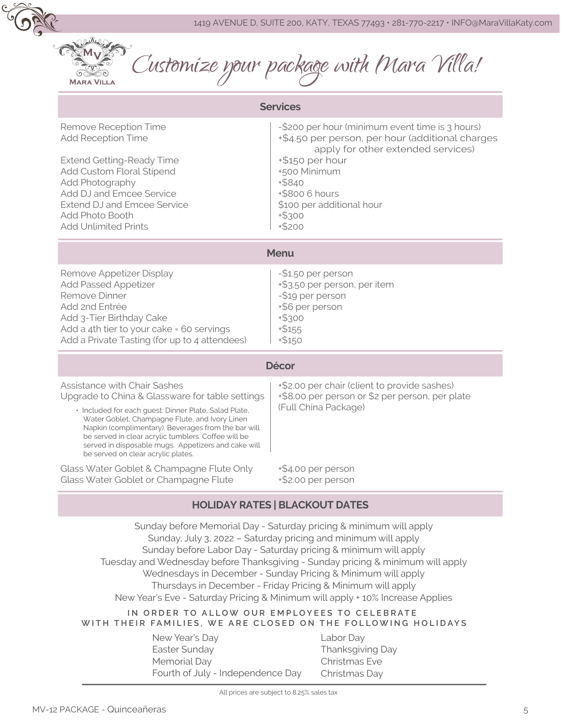

**MARA VILLA** 

Customize your package with Mara Villa!

| <b>Services</b>                                                                                                                                                                                                                                                                                                                                                                                              |                                                                                                                                                                                                                                                                |  |  |  |
|--------------------------------------------------------------------------------------------------------------------------------------------------------------------------------------------------------------------------------------------------------------------------------------------------------------------------------------------------------------------------------------------------------------|----------------------------------------------------------------------------------------------------------------------------------------------------------------------------------------------------------------------------------------------------------------|--|--|--|
| Remove Reception Time<br><b>Add Reception Time</b><br><b>Extend Getting-Ready Time</b><br>Add Custom Floral Stipend<br>Add Photography<br>Add DJ and Emcee Service<br><b>Extend DJ and Emcee Service</b><br>Add Photo Booth<br><b>Add Unlimited Prints</b>                                                                                                                                                   | -\$200 per hour (minimum event time is 3 hours)<br>+\$4.50 per person, per hour (additional charges<br>apply for other extended services)<br>+\$150 per hour<br>+500 Minimum<br>+\$840<br>+\$800 6 hours<br>\$100 per additional hour<br>$+$ \$300<br>$+ $200$ |  |  |  |
| <b>Menu</b>                                                                                                                                                                                                                                                                                                                                                                                                  |                                                                                                                                                                                                                                                                |  |  |  |
| Remove Appetizer Display<br><b>Add Passed Appetizer</b><br>Remove Dinner<br>Add 2nd Entrée<br>Add 3-Tier Birthday Cake<br>Add a 4th tier to your cake = 60 servings<br>Add a Private Tasting (for up to 4 attendees)                                                                                                                                                                                         | -\$1.50 per person<br>+\$3.50 per person, per item<br>-\$19 per person<br>+\$6 per person<br>$+$ \$300<br>$+ $155$<br>$+ $150$                                                                                                                                 |  |  |  |
| <b>Décor</b>                                                                                                                                                                                                                                                                                                                                                                                                 |                                                                                                                                                                                                                                                                |  |  |  |
| <b>Assistance with Chair Sashes</b><br>Upgrade to China & Glassware for table settings<br>· Included for each guest: Dinner Plate, Salad Plate,<br>Water Goblet, Champagne Flute, and Ivory Linen<br>Napkin (complimentary). Beverages from the bar will<br>be served in clear acrylic tumblers. Coffee will be<br>served in disposable mugs. Appetizers and cake will<br>be served on clear acrylic plates. | +\$2.00 per chair (client to provide sashes)<br>+\$8.00 per person or \$2 per person, per plate<br>(Full China Package)                                                                                                                                        |  |  |  |
| Glass Water Goblet & Champagne Flute Only<br>Glass Water Goblet or Champagne Flute                                                                                                                                                                                                                                                                                                                           | +\$4.00 per person<br>+\$2.00 per person                                                                                                                                                                                                                       |  |  |  |

### **HOLIDAY RATES | BLACKOUT DATES**

Sunday before Memorial Day - Saturday pricing & minimum will apply Sunday, July 3, 2022 – Saturday pricing and minimum will apply Sunday before Labor Day - Saturday pricing & minimum will apply Tuesday and Wednesday before Thanksgiving - Sunday pricing & minimum will apply Wednesdays in December - Sunday Pricing & Minimum will apply Thursdays in December - Friday Pricing & Minimum will apply New Year's Eve - Saturday Pricing & Minimum will apply + 10% Increase Applies

#### **IN ORDER TO ALLOW OUR EMPLOYEES TO CELEBRATE WITH THEIR FAMILIES, WE ARE CLOSED ON THE FOLLOWING HOLIDAYS**

New Year's Day Easter Sunday Memorial Day Fourth of July - Independence Day Labor Day Thanksgiving Day Christmas Eve Christmas Day